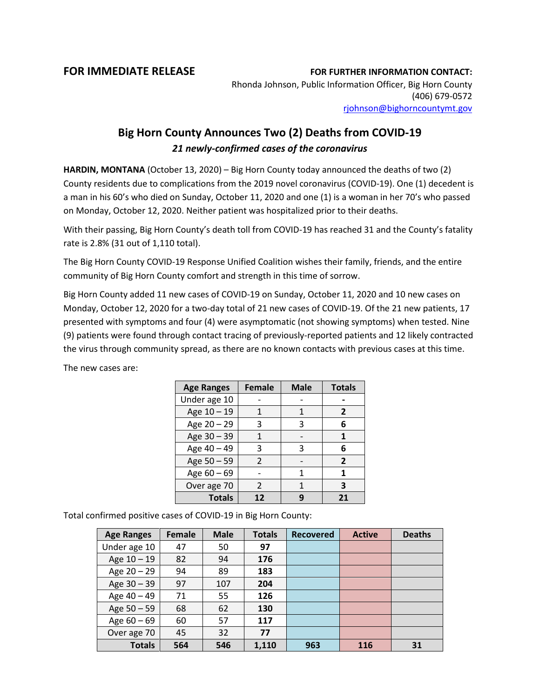## **FOR IMMEDIATE RELEASE FOR FURTHER INFORMATION CONTACT:**

Rhonda Johnson, Public Information Officer, Big Horn County (406) 679-0572 [rjohnson@bighorncountymt.gov](mailto:rjohnson@bighorncountymt.gov)

## **Big Horn County Announces Two (2) Deaths from COVID-19** *21 newly-confirmed cases of the coronavirus*

**HARDIN, MONTANA** (October 13, 2020) – Big Horn County today announced the deaths of two (2) County residents due to complications from the 2019 novel coronavirus (COVID-19). One (1) decedent is a man in his 60's who died on Sunday, October 11, 2020 and one (1) is a woman in her 70's who passed on Monday, October 12, 2020. Neither patient was hospitalized prior to their deaths.

With their passing, Big Horn County's death toll from COVID-19 has reached 31 and the County's fatality rate is 2.8% (31 out of 1,110 total).

The Big Horn County COVID-19 Response Unified Coalition wishes their family, friends, and the entire community of Big Horn County comfort and strength in this time of sorrow.

Big Horn County added 11 new cases of COVID-19 on Sunday, October 11, 2020 and 10 new cases on Monday, October 12, 2020 for a two-day total of 21 new cases of COVID-19. Of the 21 new patients, 17 presented with symptoms and four (4) were asymptomatic (not showing symptoms) when tested. Nine (9) patients were found through contact tracing of previously-reported patients and 12 likely contracted the virus through community spread, as there are no known contacts with previous cases at this time.

| <b>Age Ranges</b> | <b>Female</b> | <b>Male</b> | <b>Totals</b>  |  |
|-------------------|---------------|-------------|----------------|--|
| Under age 10      |               |             |                |  |
| Age 10 - 19       | 1             | 1           | 2              |  |
| Age 20 - 29       | 3             | 3           | 6              |  |
| Age 30 - 39       |               |             | 1              |  |
| Age 40 - 49       | 3             | 3           | 6              |  |
| Age 50 - 59       | $\mathcal{P}$ |             | $\overline{2}$ |  |
| Age $60 - 69$     |               | 1           | 1              |  |
| Over age 70       | $\mathcal{L}$ | 1           | 3              |  |
| <b>Totals</b>     | 12            |             | 21             |  |

The new cases are:

Total confirmed positive cases of COVID-19 in Big Horn County:

| <b>Age Ranges</b> | <b>Female</b> | <b>Male</b> | <b>Totals</b> | <b>Recovered</b> | <b>Active</b> | <b>Deaths</b> |
|-------------------|---------------|-------------|---------------|------------------|---------------|---------------|
| Under age 10      | 47            | 50          | 97            |                  |               |               |
| Age 10 - 19       | 82            | 94          | 176           |                  |               |               |
| Age 20 - 29       | 94            | 89          | 183           |                  |               |               |
| Age 30 - 39       | 97            | 107         | 204           |                  |               |               |
| Age 40 - 49       | 71            | 55          | 126           |                  |               |               |
| Age 50 - 59       | 68            | 62          | 130           |                  |               |               |
| Age $60 - 69$     | 60            | 57          | 117           |                  |               |               |
| Over age 70       | 45            | 32          | 77            |                  |               |               |
| <b>Totals</b>     | 564           | 546         | 1,110         | 963              | 116           | 31            |